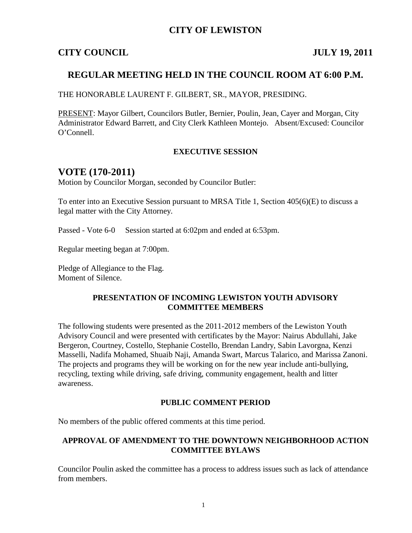## **CITY OF LEWISTON**

#### **CITY COUNCIL JULY 19, 2011**

## **REGULAR MEETING HELD IN THE COUNCIL ROOM AT 6:00 P.M.**

THE HONORABLE LAURENT F. GILBERT, SR., MAYOR, PRESIDING.

PRESENT: Mayor Gilbert, Councilors Butler, Bernier, Poulin, Jean, Cayer and Morgan, City Administrator Edward Barrett, and City Clerk Kathleen Montejo. Absent/Excused: Councilor O'Connell.

#### **EXECUTIVE SESSION**

## **VOTE (170-2011)**

Motion by Councilor Morgan, seconded by Councilor Butler:

To enter into an Executive Session pursuant to MRSA Title 1, Section 405(6)(E) to discuss a legal matter with the City Attorney.

Passed - Vote 6-0 Session started at 6:02pm and ended at 6:53pm.

Regular meeting began at 7:00pm.

Pledge of Allegiance to the Flag. Moment of Silence.

#### **PRESENTATION OF INCOMING LEWISTON YOUTH ADVISORY COMMITTEE MEMBERS**

The following students were presented as the 2011-2012 members of the Lewiston Youth Advisory Council and were presented with certificates by the Mayor: Nairus Abdullahi, Jake Bergeron, Courtney, Costello, Stephanie Costello, Brendan Landry, Sabin Lavorgna, Kenzi Masselli, Nadifa Mohamed, Shuaib Naji, Amanda Swart, Marcus Talarico, and Marissa Zanoni. The projects and programs they will be working on for the new year include anti-bullying, recycling, texting while driving, safe driving, community engagement, health and litter awareness.

#### **PUBLIC COMMENT PERIOD**

No members of the public offered comments at this time period.

#### **APPROVAL OF AMENDMENT TO THE DOWNTOWN NEIGHBORHOOD ACTION COMMITTEE BYLAWS**

Councilor Poulin asked the committee has a process to address issues such as lack of attendance from members.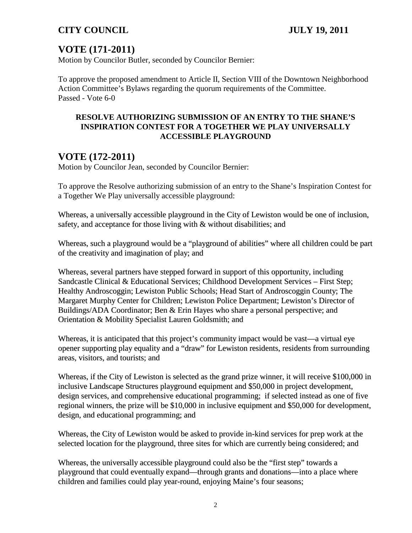# **VOTE (171-2011)**

Motion by Councilor Butler, seconded by Councilor Bernier:

To approve the proposed amendment to Article II, Section VIII of the Downtown Neighborhood Action Committee's Bylaws regarding the quorum requirements of the Committee. Passed - Vote 6-0

#### **RESOLVE AUTHORIZING SUBMISSION OF AN ENTRY TO THE SHANE'S INSPIRATION CONTEST FOR A TOGETHER WE PLAY UNIVERSALLY ACCESSIBLE PLAYGROUND**

# **VOTE (172-2011)**

Motion by Councilor Jean, seconded by Councilor Bernier:

To approve the Resolve authorizing submission of an entry to the Shane's Inspiration Contest for a Together We Play universally accessible playground:

Whereas, a universally accessible playground in the City of Lewiston would be one of inclusion, safety, and acceptance for those living with & without disabilities; and

Whereas, such a playground would be a "playground of abilities" where all children could be part of the creativity and imagination of play; and

Whereas, several partners have stepped forward in support of this opportunity, including Sandcastle Clinical & Educational Services; Childhood Development Services – First Step; Healthy Androscoggin; Lewiston Public Schools; Head Start of Androscoggin County; The Margaret Murphy Center for Children; Lewiston Police Department; Lewiston's Director of Buildings/ADA Coordinator; Ben & Erin Hayes who share a personal perspective; and Orientation & Mobility Specialist Lauren Goldsmith; and

Whereas, it is anticipated that this project's community impact would be vast—a virtual eye opener supporting play equality and a "draw" for Lewiston residents, residents from surrounding areas, visitors, and tourists; and

Whereas, if the City of Lewiston is selected as the grand prize winner, it will receive \$100,000 in inclusive Landscape Structures playground equipment and \$50,000 in project development, design services, and comprehensive educational programming; if selected instead as one of five regional winners, the prize will be \$10,000 in inclusive equipment and \$50,000 for development, design, and educational programming; and

Whereas, the City of Lewiston would be asked to provide in-kind services for prep work at the selected location for the playground, three sites for which are currently being considered; and

Whereas, the universally accessible playground could also be the "first step" towards a playground that could eventually expand—through grants and donations—into a place where children and families could play year-round, enjoying Maine's four seasons;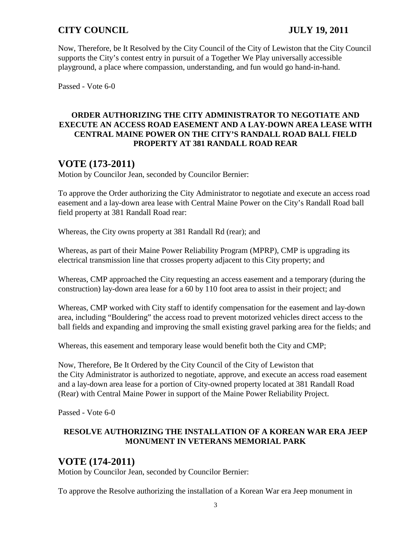Now, Therefore, be It Resolved by the City Council of the City of Lewiston that the City Council supports the City's contest entry in pursuit of a Together We Play universally accessible playground, a place where compassion, understanding, and fun would go hand-in-hand.

Passed - Vote 6-0

## **ORDER AUTHORIZING THE CITY ADMINISTRATOR TO NEGOTIATE AND EXECUTE AN ACCESS ROAD EASEMENT AND A LAY-DOWN AREA LEASE WITH CENTRAL MAINE POWER ON THE CITY'S RANDALL ROAD BALL FIELD PROPERTY AT 381 RANDALL ROAD REAR**

# **VOTE (173-2011)**

Motion by Councilor Jean, seconded by Councilor Bernier:

To approve the Order authorizing the City Administrator to negotiate and execute an access road easement and a lay-down area lease with Central Maine Power on the City's Randall Road ball field property at 381 Randall Road rear:

Whereas, the City owns property at 381 Randall Rd (rear); and

Whereas, as part of their Maine Power Reliability Program (MPRP), CMP is upgrading its electrical transmission line that crosses property adjacent to this City property; and

Whereas, CMP approached the City requesting an access easement and a temporary (during the construction) lay-down area lease for a 60 by 110 foot area to assist in their project; and

Whereas, CMP worked with City staff to identify compensation for the easement and lay-down area, including "Bouldering" the access road to prevent motorized vehicles direct access to the ball fields and expanding and improving the small existing gravel parking area for the fields; and

Whereas, this easement and temporary lease would benefit both the City and CMP;

Now, Therefore, Be It Ordered by the City Council of the City of Lewiston that the City Administrator is authorized to negotiate, approve, and execute an access road easement and a lay-down area lease for a portion of City-owned property located at 381 Randall Road (Rear) with Central Maine Power in support of the Maine Power Reliability Project.

Passed - Vote 6-0

### **RESOLVE AUTHORIZING THE INSTALLATION OF A KOREAN WAR ERA JEEP MONUMENT IN VETERANS MEMORIAL PARK**

## **VOTE (174-2011)**

Motion by Councilor Jean, seconded by Councilor Bernier:

To approve the Resolve authorizing the installation of a Korean War era Jeep monument in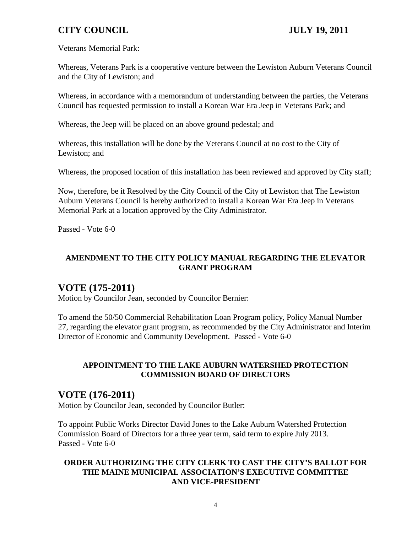Veterans Memorial Park:

Whereas, Veterans Park is a cooperative venture between the Lewiston Auburn Veterans Council and the City of Lewiston; and

Whereas, in accordance with a memorandum of understanding between the parties, the Veterans Council has requested permission to install a Korean War Era Jeep in Veterans Park; and

Whereas, the Jeep will be placed on an above ground pedestal; and

Whereas, this installation will be done by the Veterans Council at no cost to the City of Lewiston; and

Whereas, the proposed location of this installation has been reviewed and approved by City staff;

Now, therefore, be it Resolved by the City Council of the City of Lewiston that The Lewiston Auburn Veterans Council is hereby authorized to install a Korean War Era Jeep in Veterans Memorial Park at a location approved by the City Administrator.

Passed - Vote 6-0

## **AMENDMENT TO THE CITY POLICY MANUAL REGARDING THE ELEVATOR GRANT PROGRAM**

# **VOTE (175-2011)**

Motion by Councilor Jean, seconded by Councilor Bernier:

To amend the 50/50 Commercial Rehabilitation Loan Program policy, Policy Manual Number 27, regarding the elevator grant program, as recommended by the City Administrator and Interim Director of Economic and Community Development. Passed - Vote 6-0

### **APPOINTMENT TO THE LAKE AUBURN WATERSHED PROTECTION COMMISSION BOARD OF DIRECTORS**

## **VOTE (176-2011)**

Motion by Councilor Jean, seconded by Councilor Butler:

To appoint Public Works Director David Jones to the Lake Auburn Watershed Protection Commission Board of Directors for a three year term, said term to expire July 2013. Passed - Vote 6-0

## **ORDER AUTHORIZING THE CITY CLERK TO CAST THE CITY'S BALLOT FOR THE MAINE MUNICIPAL ASSOCIATION'S EXECUTIVE COMMITTEE AND VICE-PRESIDENT**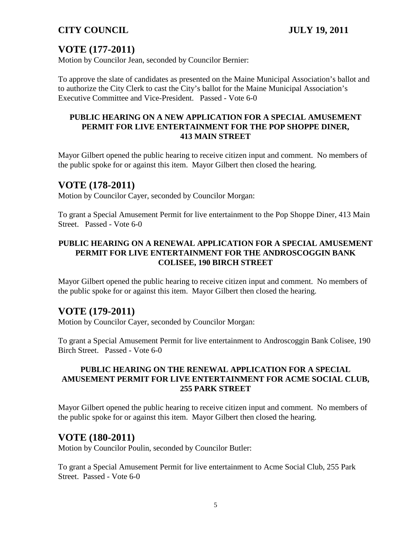# **VOTE (177-2011)**

Motion by Councilor Jean, seconded by Councilor Bernier:

To approve the slate of candidates as presented on the Maine Municipal Association's ballot and to authorize the City Clerk to cast the City's ballot for the Maine Municipal Association's Executive Committee and Vice-President. Passed - Vote 6-0

#### **PUBLIC HEARING ON A NEW APPLICATION FOR A SPECIAL AMUSEMENT PERMIT FOR LIVE ENTERTAINMENT FOR THE POP SHOPPE DINER, 413 MAIN STREET**

Mayor Gilbert opened the public hearing to receive citizen input and comment. No members of the public spoke for or against this item. Mayor Gilbert then closed the hearing.

## **VOTE (178-2011)**

Motion by Councilor Cayer, seconded by Councilor Morgan:

To grant a Special Amusement Permit for live entertainment to the Pop Shoppe Diner, 413 Main Street. Passed - Vote 6-0

#### **PUBLIC HEARING ON A RENEWAL APPLICATION FOR A SPECIAL AMUSEMENT PERMIT FOR LIVE ENTERTAINMENT FOR THE ANDROSCOGGIN BANK COLISEE, 190 BIRCH STREET**

Mayor Gilbert opened the public hearing to receive citizen input and comment. No members of the public spoke for or against this item. Mayor Gilbert then closed the hearing.

## **VOTE (179-2011)**

Motion by Councilor Cayer, seconded by Councilor Morgan:

To grant a Special Amusement Permit for live entertainment to Androscoggin Bank Colisee, 190 Birch Street. Passed - Vote 6-0

#### **PUBLIC HEARING ON THE RENEWAL APPLICATION FOR A SPECIAL AMUSEMENT PERMIT FOR LIVE ENTERTAINMENT FOR ACME SOCIAL CLUB, 255 PARK STREET**

Mayor Gilbert opened the public hearing to receive citizen input and comment. No members of the public spoke for or against this item. Mayor Gilbert then closed the hearing.

## **VOTE (180-2011)**

Motion by Councilor Poulin, seconded by Councilor Butler:

To grant a Special Amusement Permit for live entertainment to Acme Social Club, 255 Park Street. Passed - Vote 6-0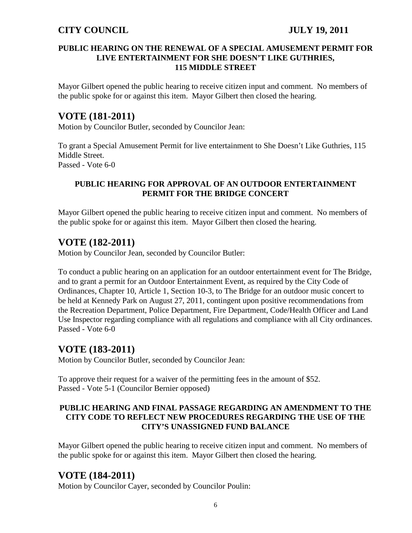#### **PUBLIC HEARING ON THE RENEWAL OF A SPECIAL AMUSEMENT PERMIT FOR LIVE ENTERTAINMENT FOR SHE DOESN'T LIKE GUTHRIES, 115 MIDDLE STREET**

Mayor Gilbert opened the public hearing to receive citizen input and comment. No members of the public spoke for or against this item. Mayor Gilbert then closed the hearing.

## **VOTE (181-2011)**

Motion by Councilor Butler, seconded by Councilor Jean:

To grant a Special Amusement Permit for live entertainment to She Doesn't Like Guthries, 115 Middle Street. Passed - Vote 6-0

#### **PUBLIC HEARING FOR APPROVAL OF AN OUTDOOR ENTERTAINMENT PERMIT FOR THE BRIDGE CONCERT**

Mayor Gilbert opened the public hearing to receive citizen input and comment. No members of the public spoke for or against this item. Mayor Gilbert then closed the hearing.

## **VOTE (182-2011)**

Motion by Councilor Jean, seconded by Councilor Butler:

To conduct a public hearing on an application for an outdoor entertainment event for The Bridge, and to grant a permit for an Outdoor Entertainment Event, as required by the City Code of Ordinances, Chapter 10, Article 1, Section 10-3, to The Bridge for an outdoor music concert to be held at Kennedy Park on August 27, 2011, contingent upon positive recommendations from the Recreation Department, Police Department, Fire Department, Code/Health Officer and Land Use Inspector regarding compliance with all regulations and compliance with all City ordinances. Passed - Vote 6-0

## **VOTE (183-2011)**

Motion by Councilor Butler, seconded by Councilor Jean:

To approve their request for a waiver of the permitting fees in the amount of \$52. Passed - Vote 5-1 (Councilor Bernier opposed)

#### **PUBLIC HEARING AND FINAL PASSAGE REGARDING AN AMENDMENT TO THE CITY CODE TO REFLECT NEW PROCEDURES REGARDING THE USE OF THE CITY'S UNASSIGNED FUND BALANCE**

Mayor Gilbert opened the public hearing to receive citizen input and comment. No members of the public spoke for or against this item. Mayor Gilbert then closed the hearing.

## **VOTE (184-2011)**

Motion by Councilor Cayer, seconded by Councilor Poulin: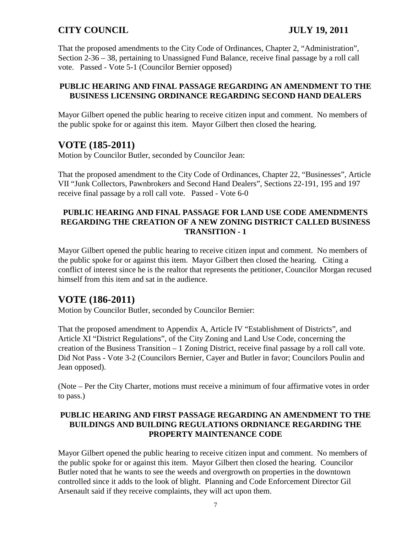That the proposed amendments to the City Code of Ordinances, Chapter 2, "Administration", Section 2-36 – 38, pertaining to Unassigned Fund Balance, receive final passage by a roll call vote. Passed - Vote 5-1 (Councilor Bernier opposed)

### **PUBLIC HEARING AND FINAL PASSAGE REGARDING AN AMENDMENT TO THE BUSINESS LICENSING ORDINANCE REGARDING SECOND HAND DEALERS**

Mayor Gilbert opened the public hearing to receive citizen input and comment. No members of the public spoke for or against this item. Mayor Gilbert then closed the hearing.

# **VOTE (185-2011)**

Motion by Councilor Butler, seconded by Councilor Jean:

That the proposed amendment to the City Code of Ordinances, Chapter 22, "Businesses", Article VII "Junk Collectors, Pawnbrokers and Second Hand Dealers", Sections 22-191, 195 and 197 receive final passage by a roll call vote. Passed - Vote 6-0

#### **PUBLIC HEARING AND FINAL PASSAGE FOR LAND USE CODE AMENDMENTS REGARDING THE CREATION OF A NEW ZONING DISTRICT CALLED BUSINESS TRANSITION - 1**

Mayor Gilbert opened the public hearing to receive citizen input and comment. No members of the public spoke for or against this item. Mayor Gilbert then closed the hearing. Citing a conflict of interest since he is the realtor that represents the petitioner, Councilor Morgan recused himself from this item and sat in the audience.

# **VOTE (186-2011)**

Motion by Councilor Butler, seconded by Councilor Bernier:

That the proposed amendment to Appendix A, Article IV "Establishment of Districts", and Article XI "District Regulations", of the City Zoning and Land Use Code, concerning the creation of the Business Transition – 1 Zoning District, receive final passage by a roll call vote. Did Not Pass - Vote 3-2 (Councilors Bernier, Cayer and Butler in favor; Councilors Poulin and Jean opposed).

(Note – Per the City Charter, motions must receive a minimum of four affirmative votes in order to pass.)

#### **PUBLIC HEARING AND FIRST PASSAGE REGARDING AN AMENDMENT TO THE BUILDINGS AND BUILDING REGULATIONS ORDNIANCE REGARDING THE PROPERTY MAINTENANCE CODE**

Mayor Gilbert opened the public hearing to receive citizen input and comment. No members of the public spoke for or against this item. Mayor Gilbert then closed the hearing. Councilor Butler noted that he wants to see the weeds and overgrowth on properties in the downtown controlled since it adds to the look of blight. Planning and Code Enforcement Director Gil Arsenault said if they receive complaints, they will act upon them.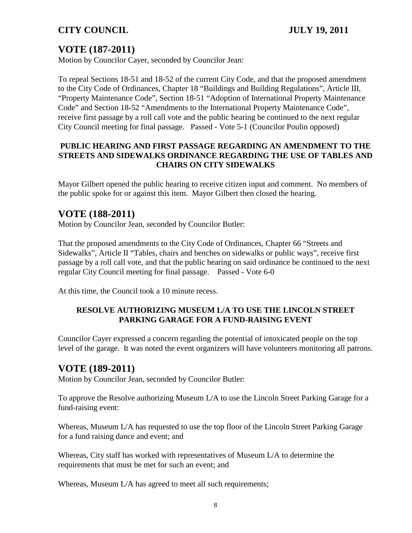# **VOTE (187-2011)**

Motion by Councilor Cayer, seconded by Councilor Jean:

To repeal Sections 18-51 and 18-52 of the current City Code, and that the proposed amendment to the City Code of Ordinances, Chapter 18 "Buildings and Building Regulations", Article III, "Property Maintenance Code", Section 18-51 "Adoption of International Property Maintenance Code" and Section 18-52 "Amendments to the International Property Maintenance Code", receive first passage by a roll call vote and the public hearing be continued to the next regular City Council meeting for final passage. Passed - Vote 5-1 (Councilor Poulin opposed)

#### **PUBLIC HEARING AND FIRST PASSAGE REGARDING AN AMENDMENT TO THE STREETS AND SIDEWALKS ORDINANCE REGARDING THE USE OF TABLES AND CHAIRS ON CITY SIDEWALKS**

Mayor Gilbert opened the public hearing to receive citizen input and comment. No members of the public spoke for or against this item. Mayor Gilbert then closed the hearing.

# **VOTE (188-2011)**

Motion by Councilor Jean, seconded by Councilor Butler:

That the proposed amendments to the City Code of Ordinances, Chapter 66 "Streets and Sidewalks", Article II "Tables, chairs and benches on sidewalks or public ways", receive first passage by a roll call vote, and that the public hearing on said ordinance be continued to the next regular City Council meeting for final passage. Passed - Vote 6-0

At this time, the Council took a 10 minute recess.

### **RESOLVE AUTHORIZING MUSEUM L/A TO USE THE LINCOLN STREET PARKING GARAGE FOR A FUND-RAISING EVENT**

Councilor Cayer expressed a concern regarding the potential of intoxicated people on the top level of the garage. It was noted the event organizers will have volunteers monitoring all patrons.

## **VOTE (189-2011)**

Motion by Councilor Jean, seconded by Councilor Butler:

To approve the Resolve authorizing Museum L/A to use the Lincoln Street Parking Garage for a fund-raising event:

Whereas, Museum L/A has requested to use the top floor of the Lincoln Street Parking Garage for a fund raising dance and event; and

Whereas, City staff has worked with representatives of Museum L/A to determine the requirements that must be met for such an event; and

Whereas, Museum L/A has agreed to meet all such requirements;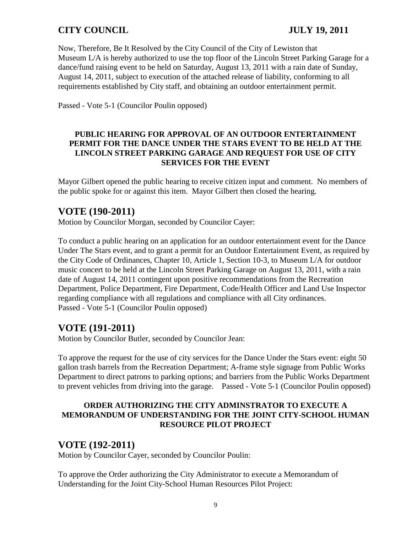Now, Therefore, Be It Resolved by the City Council of the City of Lewiston that Museum L/A is hereby authorized to use the top floor of the Lincoln Street Parking Garage for a dance/fund raising event to be held on Saturday, August 13, 2011 with a rain date of Sunday, August 14, 2011, subject to execution of the attached release of liability, conforming to all requirements established by City staff, and obtaining an outdoor entertainment permit.

Passed - Vote 5-1 (Councilor Poulin opposed)

#### **PUBLIC HEARING FOR APPROVAL OF AN OUTDOOR ENTERTAINMENT PERMIT FOR THE DANCE UNDER THE STARS EVENT TO BE HELD AT THE LINCOLN STREET PARKING GARAGE AND REQUEST FOR USE OF CITY SERVICES FOR THE EVENT**

Mayor Gilbert opened the public hearing to receive citizen input and comment. No members of the public spoke for or against this item. Mayor Gilbert then closed the hearing.

## **VOTE (190-2011)**

Motion by Councilor Morgan, seconded by Councilor Cayer:

To conduct a public hearing on an application for an outdoor entertainment event for the Dance Under The Stars event, and to grant a permit for an Outdoor Entertainment Event, as required by the City Code of Ordinances, Chapter 10, Article 1, Section 10-3, to Museum L/A for outdoor music concert to be held at the Lincoln Street Parking Garage on August 13, 2011, with a rain date of August 14, 2011 contingent upon positive recommendations from the Recreation Department, Police Department, Fire Department, Code/Health Officer and Land Use Inspector regarding compliance with all regulations and compliance with all City ordinances. Passed - Vote 5-1 (Councilor Poulin opposed)

## **VOTE (191-2011)**

Motion by Councilor Butler, seconded by Councilor Jean:

To approve the request for the use of city services for the Dance Under the Stars event: eight 50 gallon trash barrels from the Recreation Department; A-frame style signage from Public Works Department to direct patrons to parking options; and barriers from the Public Works Department to prevent vehicles from driving into the garage. Passed - Vote 5-1 (Councilor Poulin opposed)

#### **ORDER AUTHORIZING THE CITY ADMINSTRATOR TO EXECUTE A MEMORANDUM OF UNDERSTANDING FOR THE JOINT CITY-SCHOOL HUMAN RESOURCE PILOT PROJECT**

# **VOTE (192-2011)**

Motion by Councilor Cayer, seconded by Councilor Poulin:

To approve the Order authorizing the City Administrator to execute a Memorandum of Understanding for the Joint City-School Human Resources Pilot Project: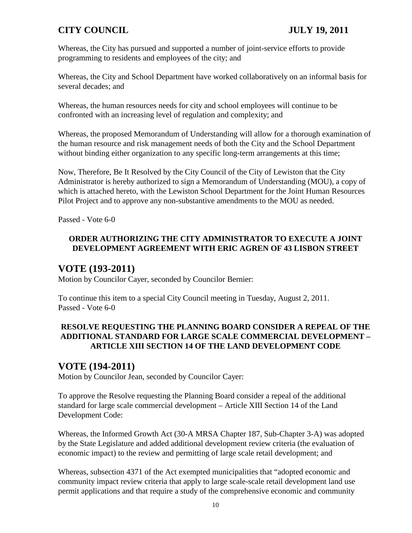Whereas, the City has pursued and supported a number of joint-service efforts to provide programming to residents and employees of the city; and

Whereas, the City and School Department have worked collaboratively on an informal basis for several decades; and

Whereas, the human resources needs for city and school employees will continue to be confronted with an increasing level of regulation and complexity; and

Whereas, the proposed Memorandum of Understanding will allow for a thorough examination of the human resource and risk management needs of both the City and the School Department without binding either organization to any specific long-term arrangements at this time;

Now, Therefore, Be It Resolved by the City Council of the City of Lewiston that the City Administrator is hereby authorized to sign a Memorandum of Understanding (MOU), a copy of which is attached hereto, with the Lewiston School Department for the Joint Human Resources Pilot Project and to approve any non-substantive amendments to the MOU as needed.

Passed - Vote 6-0

## **ORDER AUTHORIZING THE CITY ADMINISTRATOR TO EXECUTE A JOINT DEVELOPMENT AGREEMENT WITH ERIC AGREN OF 43 LISBON STREET**

# **VOTE (193-2011)**

Motion by Councilor Cayer, seconded by Councilor Bernier:

To continue this item to a special City Council meeting in Tuesday, August 2, 2011. Passed - Vote 6-0

## **RESOLVE REQUESTING THE PLANNING BOARD CONSIDER A REPEAL OF THE ADDITIONAL STANDARD FOR LARGE SCALE COMMERCIAL DEVELOPMENT – ARTICLE XIII SECTION 14 OF THE LAND DEVELOPMENT CODE**

# **VOTE (194-2011)**

Motion by Councilor Jean, seconded by Councilor Cayer:

To approve the Resolve requesting the Planning Board consider a repeal of the additional standard for large scale commercial development – Article XIII Section 14 of the Land Development Code:

Whereas, the Informed Growth Act (30-A MRSA Chapter 187, Sub-Chapter 3-A) was adopted by the State Legislature and added additional development review criteria (the evaluation of economic impact) to the review and permitting of large scale retail development; and

Whereas, subsection 4371 of the Act exempted municipalities that "adopted economic and community impact review criteria that apply to large scale-scale retail development land use permit applications and that require a study of the comprehensive economic and community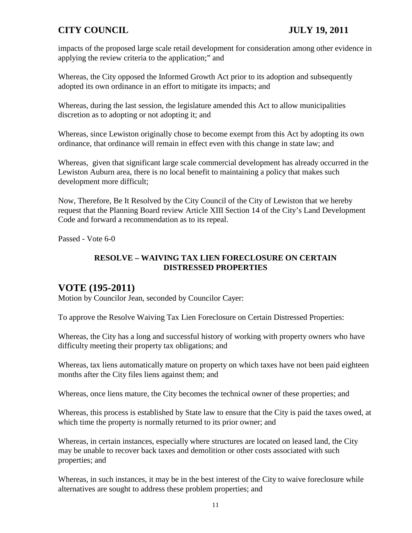impacts of the proposed large scale retail development for consideration among other evidence in applying the review criteria to the application;" and

Whereas, the City opposed the Informed Growth Act prior to its adoption and subsequently adopted its own ordinance in an effort to mitigate its impacts; and

Whereas, during the last session, the legislature amended this Act to allow municipalities discretion as to adopting or not adopting it; and

Whereas, since Lewiston originally chose to become exempt from this Act by adopting its own ordinance, that ordinance will remain in effect even with this change in state law; and

Whereas, given that significant large scale commercial development has already occurred in the Lewiston Auburn area, there is no local benefit to maintaining a policy that makes such development more difficult;

Now, Therefore, Be It Resolved by the City Council of the City of Lewiston that we hereby request that the Planning Board review Article XIII Section 14 of the City's Land Development Code and forward a recommendation as to its repeal.

Passed - Vote 6-0

#### **RESOLVE – WAIVING TAX LIEN FORECLOSURE ON CERTAIN DISTRESSED PROPERTIES**

## **VOTE (195-2011)**

Motion by Councilor Jean, seconded by Councilor Cayer:

To approve the Resolve Waiving Tax Lien Foreclosure on Certain Distressed Properties:

Whereas, the City has a long and successful history of working with property owners who have difficulty meeting their property tax obligations; and

Whereas, tax liens automatically mature on property on which taxes have not been paid eighteen months after the City files liens against them; and

Whereas, once liens mature, the City becomes the technical owner of these properties; and

Whereas, this process is established by State law to ensure that the City is paid the taxes owed, at which time the property is normally returned to its prior owner; and

Whereas, in certain instances, especially where structures are located on leased land, the City may be unable to recover back taxes and demolition or other costs associated with such properties; and

Whereas, in such instances, it may be in the best interest of the City to waive foreclosure while alternatives are sought to address these problem properties; and